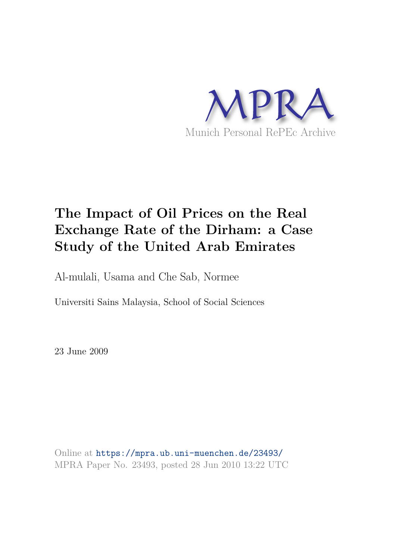

# **The Impact of Oil Prices on the Real Exchange Rate of the Dirham: a Case Study of the United Arab Emirates**

Al-mulali, Usama and Che Sab, Normee

Universiti Sains Malaysia, School of Social Sciences

23 June 2009

Online at https://mpra.ub.uni-muenchen.de/23493/ MPRA Paper No. 23493, posted 28 Jun 2010 13:22 UTC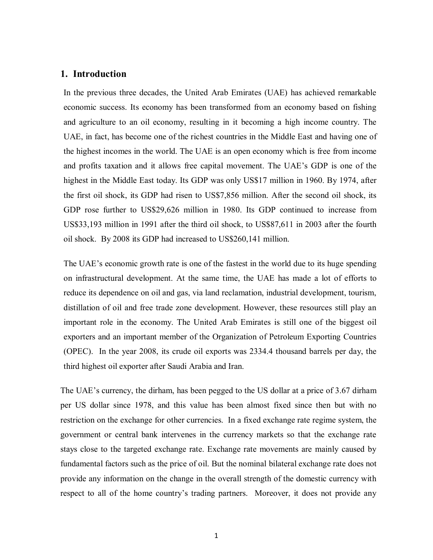## **1. Introduction**

In the previous three decades, the United Arab Emirates (UAE) has achieved remarkable economic success. Its economy has been transformed from an economy based on fishing and agriculture to an oil economy, resulting in it becoming a high income country. The UAE, in fact, has become one of the richest countries in the Middle East and having one of the highest incomes in the world. The UAE is an open economy which is free from income and profits taxation and it allows free capital movement. The UAE's GDP is one of the highest in the Middle East today. Its GDP was only US\$17 million in 1960. By 1974, after the first oil shock, its GDP had risen to US\$7,856 million. After the second oil shock, its GDP rose further to US\$29,626 million in 1980. Its GDP continued to increase from US\$33,193 million in 1991 after the third oil shock, to US\$87,611 in 2003 after the fourth oil shock. By 2008 its GDP had increased to US\$260,141 million.

The UAE's economic growth rate is one of the fastest in the world due to its huge spending on infrastructural development. At the same time, the UAE has made a lot of efforts to reduce its dependence on oil and gas, via land reclamation, industrial development, tourism, distillation of oil and free trade zone development. However, these resources still play an important role in the economy. The United Arab Emirates is still one of the biggest oil exporters and an important member of the Organization of Petroleum Exporting Countries (OPEC). In the year 2008, its crude oil exports was 2334.4 thousand barrels per day, the third highest oil exporter after Saudi Arabia and Iran.

The UAE's currency, the dirham, has been pegged to the US dollar at a price of 3.67 dirham per US dollar since 1978, and this value has been almost fixed since then but with no restriction on the exchange for other currencies. In a fixed exchange rate regime system, the government or central bank intervenes in the currency markets so that the exchange rate stays close to the targeted exchange rate. Exchange rate movements are mainly caused by fundamental factors such as the price of oil. But the nominal bilateral exchange rate does not provide any information on the change in the overall strength of the domestic currency with respect to all of the home country's trading partners. Moreover, it does not provide any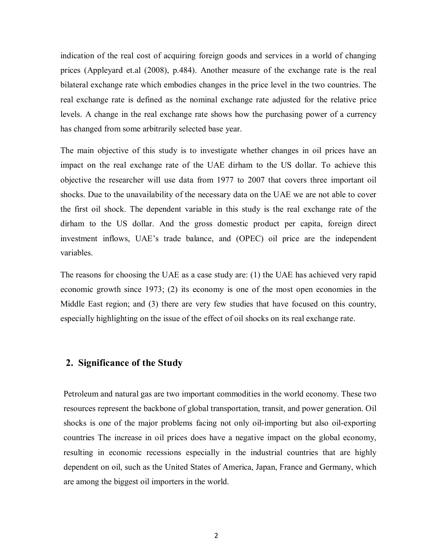indication of the real cost of acquiring foreign goods and services in a world of changing prices (Appleyard et.al (2008), p.484). Another measure of the exchange rate is the real bilateral exchange rate which embodies changes in the price level in the two countries. The real exchange rate is defined as the nominal exchange rate adjusted for the relative price levels. A change in the real exchange rate shows how the purchasing power of a currency has changed from some arbitrarily selected base year.

The main objective of this study is to investigate whether changes in oil prices have an impact on the real exchange rate of the UAE dirham to the US dollar. To achieve this objective the researcher will use data from 1977 to 2007 that covers three important oil shocks. Due to the unavailability of the necessary data on the UAE we are not able to cover the first oil shock. The dependent variable in this study is the real exchange rate of the dirham to the US dollar. And the gross domestic product per capita, foreign direct investment inflows, UAE's trade balance, and (OPEC) oil price are the independent variables.

The reasons for choosing the UAE as a case study are: (1) the UAE has achieved very rapid economic growth since 1973; (2) its economy is one of the most open economies in the Middle East region; and (3) there are very few studies that have focused on this country, especially highlighting on the issue of the effect of oil shocks on its real exchange rate.

# **2. Significance of the Study**

Petroleum and natural gas are two important commodities in the world economy. These two resources represent the backbone of global transportation, transit, and power generation. Oil shocks is one of the major problems facing not only oil-importing but also oil-exporting countries The increase in oil prices does have a negative impact on the global economy, resulting in economic recessions especially in the industrial countries that are highly dependent on oil, such as the United States of America, Japan, France and Germany, which are among the biggest oil importers in the world.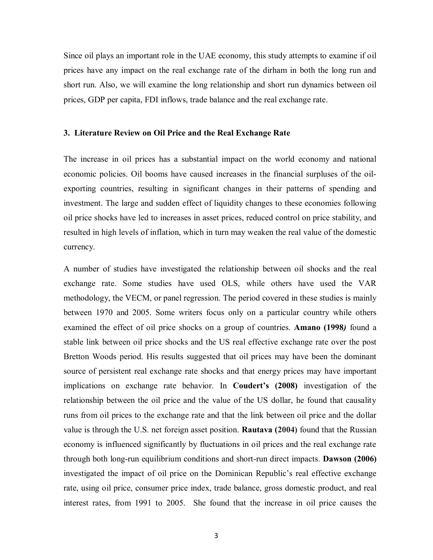Since oil plays an important role in the UAE economy, this study attempts to examine if oil prices have any impact on the real exchange rate of the dirham in both the long run and short run. Also, we will examine the long relationship and short run dynamics between oil prices, GDP per capita, FDI inflows, trade balance and the real exchange rate.

#### **3. Literature Review on Oil Price and the Real Exchange Rate**

The increase in oil prices has a substantial impact on the world economy and national economic policies. Oil booms have caused increases in the financial surpluses of the oilexporting countries, resulting in significant changes in their patterns of spending and investment. The large and sudden effect of liquidity changes to these economies following oil price shocks have led to increases in asset prices, reduced control on price stability, and resulted in high levels of inflation, which in turn may weaken the real value of the domestic currency.

A number of studies have investigated the relationship between oil shocks and the real exchange rate. Some studies have used OLS, while others have used the VAR methodology, the VECM, or panel regression. The period covered in these studies is mainly between 1970 and 2005. Some writers focus only on a particular country while others examined the effect of oil price shocks on a group of countries. **Amano (1998***)* found a stable link between oil price shocks and the US real effective exchange rate over the post Bretton Woods period. His results suggested that oil prices may have been the dominant source of persistent real exchange rate shocks and that energy prices may have important implications on exchange rate behavior. In **Coudert's (2008)** investigation of the relationship between the oil price and the value of the US dollar, he found that causality runs from oil prices to the exchange rate and that the link between oil price and the dollar value is through the U.S. net foreign asset position. **Rautava (2004)** found that the Russian economy is influenced significantly by fluctuations in oil prices and the real exchange rate through both long-run equilibrium conditions and short-run direct impacts. **Dawson (2006)** investigated the impact of oil price on the Dominican Republic's real effective exchange rate, using oil price, consumer price index, trade balance, gross domestic product, and real interest rates, from 1991 to 2005. She found that the increase in oil price causes the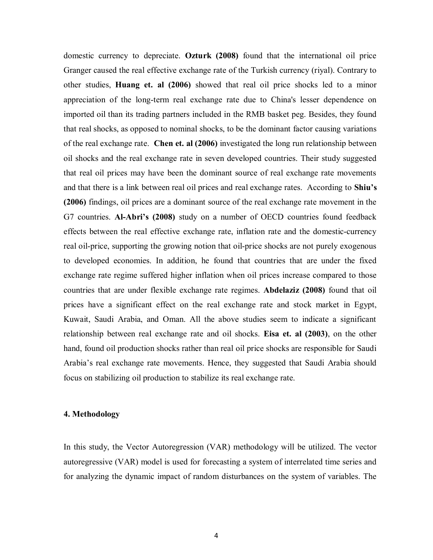domestic currency to depreciate. **Ozturk (2008)** found that the international oil price Granger caused the real effective exchange rate of the Turkish currency (riyal). Contrary to other studies, **Huang et. al (2006)** showed that real oil price shocks led to a minor appreciation of the long-term real exchange rate due to China's lesser dependence on imported oil than its trading partners included in the RMB basket peg. Besides, they found that real shocks, as opposed to nominal shocks, to be the dominant factor causing variations of the real exchange rate. **Chen et. al (2006)** investigated the long run relationship between oil shocks and the real exchange rate in seven developed countries. Their study suggested that real oil prices may have been the dominant source of real exchange rate movements and that there is a link between real oil prices and real exchange rates. According to **Shiu's (2006)** findings, oil prices are a dominant source of the real exchange rate movement in the G7 countries. **Al-Abri's (2008)** study on a number of OECD countries found feedback effects between the real effective exchange rate, inflation rate and the domestic-currency real oil-price, supporting the growing notion that oil-price shocks are not purely exogenous to developed economies. In addition, he found that countries that are under the fixed exchange rate regime suffered higher inflation when oil prices increase compared to those countries that are under flexible exchange rate regimes. **Abdelaziz (2008)** found that oil prices have a significant effect on the real exchange rate and stock market in Egypt, Kuwait, Saudi Arabia, and Oman. All the above studies seem to indicate a significant relationship between real exchange rate and oil shocks. **Eisa et. al (2003)**, on the other hand, found oil production shocks rather than real oil price shocks are responsible for Saudi Arabia's real exchange rate movements. Hence, they suggested that Saudi Arabia should focus on stabilizing oil production to stabilize its real exchange rate.

## **4. Methodology**

In this study, the Vector Autoregression (VAR) methodology will be utilized. The vector autoregressive (VAR) model is used for forecasting a system of interrelated time series and for analyzing the dynamic impact of random disturbances on the system of variables. The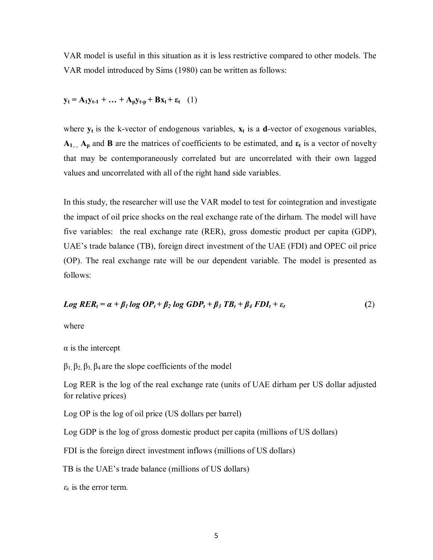VAR model is useful in this situation as it is less restrictive compared to other models. The VAR model introduced by Sims (1980) can be written as follows:

$$
\mathbf{y}_t = \mathbf{A}_1 \mathbf{y}_{t-1} + \dots + \mathbf{A}_p \mathbf{y}_{t-p} + \mathbf{B} \mathbf{x}_t + \varepsilon_t \quad (1)
$$

where  $y_t$  is the k-vector of endogenous variables,  $x_t$  is a **d**-vector of exogenous variables,  $A_{1}$ ...,  $A_{p}$  and **B** are the matrices of coefficients to be estimated, and  $\varepsilon_{t}$  is a vector of novelty that may be contemporaneously correlated but are uncorrelated with their own lagged values and uncorrelated with all of the right hand side variables.

In this study, the researcher will use the VAR model to test for cointegration and investigate the impact of oil price shocks on the real exchange rate of the dirham. The model will have five variables: the real exchange rate (RER), gross domestic product per capita (GDP), UAE's trade balance (TB), foreign direct investment of the UAE (FDI) and OPEC oil price (OP). The real exchange rate will be our dependent variable. The model is presented as follows:

$$
Log RER_t = \alpha + \beta_1 log OP_t + \beta_2 log GDP_t + \beta_3 TB_t + \beta_4 FDI_t + \varepsilon_t
$$
\n(2)

where

 $\alpha$  is the intercept

 $β_1, β_2, β_3, β_4$  are the slope coefficients of the model

Log RER is the log of the real exchange rate (units of UAE dirham per US dollar adjusted for relative prices)

Log OP is the log of oil price (US dollars per barrel)

Log GDP is the log of gross domestic product per capita (millions of US dollars)

FDI is the foreign direct investment inflows (millions of US dollars)

TB is the UAE's trade balance (millions of US dollars)

 $\varepsilon_t$  is the error term.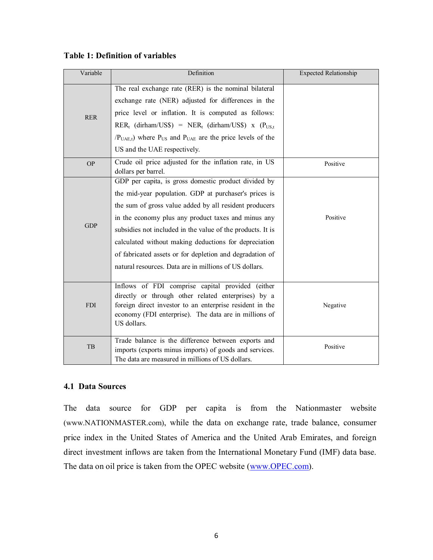| Variable   | Definition                                                                                                                                                                                                                                  | <b>Expected Relationship</b> |
|------------|---------------------------------------------------------------------------------------------------------------------------------------------------------------------------------------------------------------------------------------------|------------------------------|
|            | The real exchange rate (RER) is the nominal bilateral<br>exchange rate (NER) adjusted for differences in the                                                                                                                                |                              |
| <b>RER</b> | price level or inflation. It is computed as follows:                                                                                                                                                                                        |                              |
|            | $RER_t$ (dirham/US\$) = $NER_t$ (dirham/US\$) x ( $P_{US,t}$                                                                                                                                                                                |                              |
|            | $(PUAE,t)$ where $PUS$ and $PUAE$ are the price levels of the                                                                                                                                                                               |                              |
|            | US and the UAE respectively.                                                                                                                                                                                                                |                              |
| <b>OP</b>  | Crude oil price adjusted for the inflation rate, in US<br>dollars per barrel.                                                                                                                                                               | Positive                     |
|            | GDP per capita, is gross domestic product divided by                                                                                                                                                                                        |                              |
|            | the mid-year population. GDP at purchaser's prices is                                                                                                                                                                                       |                              |
|            | the sum of gross value added by all resident producers                                                                                                                                                                                      |                              |
|            | in the economy plus any product taxes and minus any                                                                                                                                                                                         | Positive                     |
| <b>GDP</b> | subsidies not included in the value of the products. It is                                                                                                                                                                                  |                              |
|            | calculated without making deductions for depreciation                                                                                                                                                                                       |                              |
|            | of fabricated assets or for depletion and degradation of                                                                                                                                                                                    |                              |
|            | natural resources. Data are in millions of US dollars.                                                                                                                                                                                      |                              |
| <b>FDI</b> | Inflows of FDI comprise capital provided (either<br>directly or through other related enterprises) by a<br>foreign direct investor to an enterprise resident in the<br>economy (FDI enterprise). The data are in millions of<br>US dollars. | Negative                     |
| <b>TB</b>  | Trade balance is the difference between exports and<br>imports (exports minus imports) of goods and services.<br>The data are measured in millions of US dollars.                                                                           | Positive                     |

## **Table 1: Definition of variables**

# **4.1 Data Sources**

The data source for GDP per capita is from the Nationmaster website (www.NATIONMASTER.com), while the data on exchange rate, trade balance, consumer price index in the United States of America and the United Arab Emirates, and foreign direct investment inflows are taken from the International Monetary Fund (IMF) data base. The data on oil price is taken from the OPEC website (www.OPEC.com).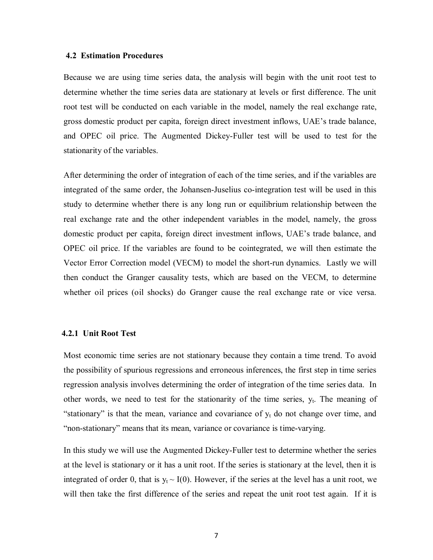#### **4.2 Estimation Procedures**

Because we are using time series data, the analysis will begin with the unit root test to determine whether the time series data are stationary at levels or first difference. The unit root test will be conducted on each variable in the model, namely the real exchange rate, gross domestic product per capita, foreign direct investment inflows, UAE's trade balance, and OPEC oil price. The Augmented Dickey-Fuller test will be used to test for the stationarity of the variables.

After determining the order of integration of each of the time series, and if the variables are integrated of the same order, the Johansen-Juselius co-integration test will be used in this study to determine whether there is any long run or equilibrium relationship between the real exchange rate and the other independent variables in the model, namely, the gross domestic product per capita, foreign direct investment inflows, UAE's trade balance, and OPEC oil price. If the variables are found to be cointegrated, we will then estimate the Vector Error Correction model (VECM) to model the short-run dynamics. Lastly we will then conduct the Granger causality tests, which are based on the VECM, to determine whether oil prices (oil shocks) do Granger cause the real exchange rate or vice versa.

### **4.2.1 Unit Root Test**

Most economic time series are not stationary because they contain a time trend. To avoid the possibility of spurious regressions and erroneous inferences, the first step in time series regression analysis involves determining the order of integration of the time series data. In other words, we need to test for the stationarity of the time series,  $y_t$ . The meaning of "stationary" is that the mean, variance and covariance of  $y_t$  do not change over time, and "non-stationary" means that its mean, variance or covariance is time-varying.

In this study we will use the Augmented Dickey-Fuller test to determine whether the series at the level is stationary or it has a unit root. If the series is stationary at the level, then it is integrated of order 0, that is  $y_t \sim I(0)$ . However, if the series at the level has a unit root, we will then take the first difference of the series and repeat the unit root test again. If it is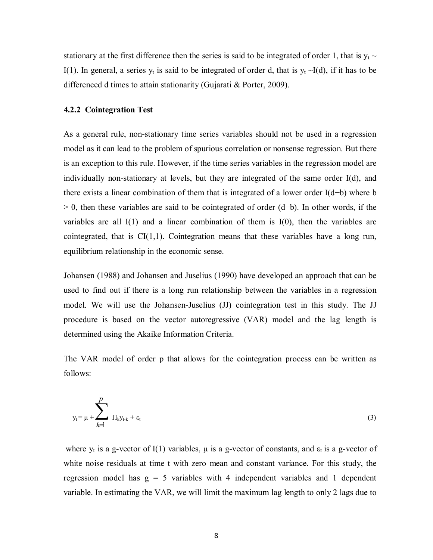stationary at the first difference then the series is said to be integrated of order 1, that is  $y_t \sim$ I(1). In general, a series  $y_t$  is said to be integrated of order d, that is  $y_t \sim I(d)$ , if it has to be differenced d times to attain stationarity (Gujarati & Porter, 2009).

#### **4.2.2 Cointegration Test**

As a general rule, non-stationary time series variables should not be used in a regression model as it can lead to the problem of spurious correlation or nonsense regression. But there is an exception to this rule. However, if the time series variables in the regression model are individually non-stationary at levels, but they are integrated of the same order I(d), and there exists a linear combination of them that is integrated of a lower order I(d−b) where b > 0, then these variables are said to be cointegrated of order (d−b). In other words, if the variables are all  $I(1)$  and a linear combination of them is  $I(0)$ , then the variables are cointegrated, that is  $CI(1,1)$ . Cointegration means that these variables have a long run, equilibrium relationship in the economic sense.

Johansen (1988) and Johansen and Juselius (1990) have developed an approach that can be used to find out if there is a long run relationship between the variables in a regression model. We will use the Johansen-Juselius (JJ) cointegration test in this study. The JJ procedure is based on the vector autoregressive (VAR) model and the lag length is determined using the Akaike Information Criteria.

The VAR model of order p that allows for the cointegration process can be written as follows:

$$
y_{t} = \mu + \sum_{k=1}^{p} \Pi_{k} y_{t-k} + \varepsilon_{t}
$$
 (3)

where  $y_t$  is a g-vector of I(1) variables,  $\mu$  is a g-vector of constants, and  $\varepsilon_t$  is a g-vector of white noise residuals at time t with zero mean and constant variance. For this study, the regression model has  $g = 5$  variables with 4 independent variables and 1 dependent variable. In estimating the VAR, we will limit the maximum lag length to only 2 lags due to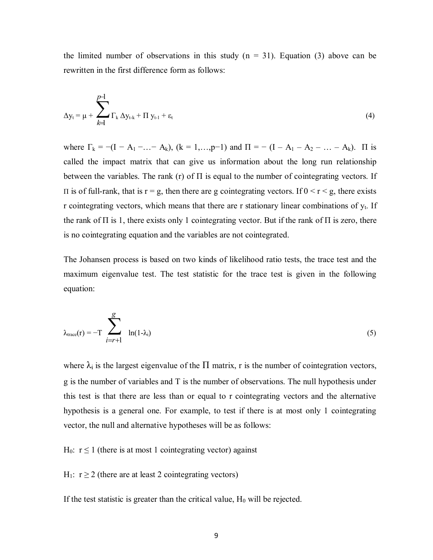the limited number of observations in this study  $(n = 31)$ . Equation (3) above can be rewritten in the first difference form as follows:

$$
\Delta y_t = \mu + \sum_{k=1}^{p-1} \Gamma_k \Delta y_{t-k} + \Pi y_{t-1} + \varepsilon_t
$$
\n(4)

where  $\Gamma_k = -(I - A_1 - ... - A_k)$ ,  $(k = 1,...,p-1)$  and  $\Pi = -(I - A_1 - A_2 - ... - A_k)$ .  $\Pi$  is called the impact matrix that can give us information about the long run relationship between the variables. The rank (r) of  $\Pi$  is equal to the number of cointegrating vectors. If II is of full-rank, that is  $r = g$ , then there are g cointegrating vectors. If  $0 \le r \le g$ , there exists r cointegrating vectors, which means that there are r stationary linear combinations of  $y_t$ . If the rank of  $\Pi$  is 1, there exists only 1 cointegrating vector. But if the rank of  $\Pi$  is zero, there is no cointegrating equation and the variables are not cointegrated.

The Johansen process is based on two kinds of likelihood ratio tests, the trace test and the maximum eigenvalue test. The test statistic for the trace test is given in the following equation:

$$
\lambda_{\text{trace}}(r) = -T \sum_{i=r+1}^{g} \ln(1 - \lambda_i) \tag{5}
$$

where  $\lambda_i$  is the largest eigenvalue of the  $\Pi$  matrix, r is the number of cointegration vectors, g is the number of variables and T is the number of observations. The null hypothesis under this test is that there are less than or equal to r cointegrating vectors and the alternative hypothesis is a general one. For example, to test if there is at most only 1 cointegrating vector, the null and alternative hypotheses will be as follows:

H<sub>0</sub>:  $r \le 1$  (there is at most 1 cointegrating vector) against

H<sub>1</sub>:  $r \ge 2$  (there are at least 2 cointegrating vectors)

If the test statistic is greater than the critical value,  $H_0$  will be rejected.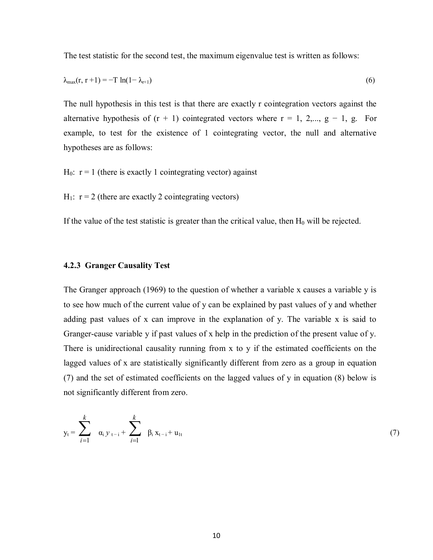The test statistic for the second test, the maximum eigenvalue test is written as follows:

$$
\lambda_{\max}(r, r+1) = -T \ln(1 - \lambda_{r+1}) \tag{6}
$$

The null hypothesis in this test is that there are exactly r cointegration vectors against the alternative hypothesis of  $(r + 1)$  cointegrated vectors where  $r = 1, 2,..., g - 1, g$ . For example, to test for the existence of 1 cointegrating vector, the null and alternative hypotheses are as follows:

 $H_0$ :  $r = 1$  (there is exactly 1 cointegrating vector) against

 $H_1$ :  $r = 2$  (there are exactly 2 cointegrating vectors)

If the value of the test statistic is greater than the critical value, then  $H_0$  will be rejected.

#### **4.2.3 Granger Causality Test**

The Granger approach (1969) to the question of whether a variable x causes a variable y is to see how much of the current value of y can be explained by past values of y and whether adding past values of x can improve in the explanation of y. The variable x is said to Granger-cause variable y if past values of x help in the prediction of the present value of y. There is unidirectional causality running from x to y if the estimated coefficients on the lagged values of x are statistically significantly different from zero as a group in equation (7) and the set of estimated coefficients on the lagged values of y in equation (8) below is not significantly different from zero.

$$
y_{t} = \sum_{i=1}^{k} \alpha_{i} y_{t-i} + \sum_{i=1}^{k} \beta_{i} x_{t-i} + u_{1t} \tag{7}
$$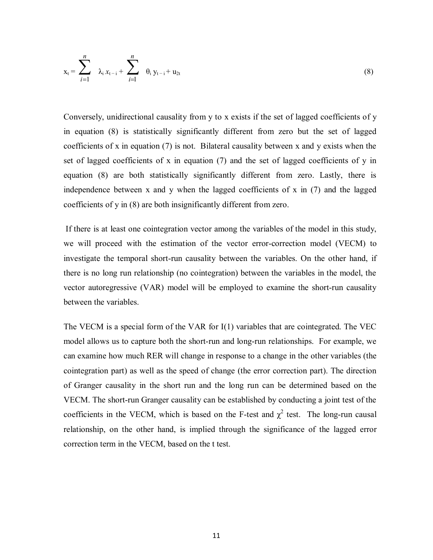$$
x_{t} = \sum_{i=1}^{n} \lambda_{i} x_{t-i} + \sum_{i=1}^{n} \theta_{i} y_{t-i} + u_{2t}
$$
 (8)

Conversely, unidirectional causality from y to x exists if the set of lagged coefficients of y in equation (8) is statistically significantly different from zero but the set of lagged coefficients of x in equation (7) is not. Bilateral causality between x and y exists when the set of lagged coefficients of x in equation (7) and the set of lagged coefficients of y in equation (8) are both statistically significantly different from zero. Lastly, there is independence between x and y when the lagged coefficients of x in (7) and the lagged coefficients of y in (8) are both insignificantly different from zero.

 If there is at least one cointegration vector among the variables of the model in this study, we will proceed with the estimation of the vector error-correction model (VECM) to investigate the temporal short-run causality between the variables. On the other hand, if there is no long run relationship (no cointegration) between the variables in the model, the vector autoregressive (VAR) model will be employed to examine the short-run causality between the variables.

The VECM is a special form of the VAR for I(1) variables that are cointegrated. The VEC model allows us to capture both the short-run and long-run relationships. For example, we can examine how much RER will change in response to a change in the other variables (the cointegration part) as well as the speed of change (the error correction part). The direction of Granger causality in the short run and the long run can be determined based on the VECM. The short-run Granger causality can be established by conducting a joint test of the coefficients in the VECM, which is based on the F-test and  $\chi^2$  test. The long-run causal relationship, on the other hand, is implied through the significance of the lagged error correction term in the VECM, based on the t test.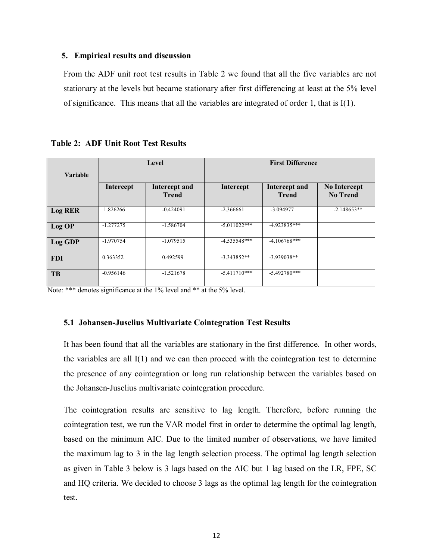## **5. Empirical results and discussion**

From the ADF unit root test results in Table 2 we found that all the five variables are not stationary at the levels but became stationary after first differencing at least at the 5% level of significance. This means that all the variables are integrated of order 1, that is I(1).

|                |             | Level                                | <b>First Difference</b> |                                      |                                        |  |
|----------------|-------------|--------------------------------------|-------------------------|--------------------------------------|----------------------------------------|--|
| Variable       |             |                                      |                         |                                      |                                        |  |
|                | Intercept   | <b>Intercept and</b><br><b>Trend</b> | Intercept               | <b>Intercept and</b><br><b>Trend</b> | <b>No Intercept</b><br><b>No Trend</b> |  |
| <b>Log RER</b> | 1.826266    | $-0.424091$                          | $-2.366661$             | $-3.094977$                          | $-2.148653**$                          |  |
| Log OP         | $-1.277275$ | $-1.586704$                          | $-5.011022***$          | $-4.923835***$                       |                                        |  |
| <b>Log GDP</b> | $-1.970754$ | $-1.079515$                          | $-4.535548***$          | $-4.106768***$                       |                                        |  |
| <b>FDI</b>     | 0.363352    | 0.492599                             | $-3.343852**$           | $-3.939038**$                        |                                        |  |
| <b>TB</b>      | $-0.956146$ | $-1.521678$                          | $-5.411710***$          | $-5.492780***$                       |                                        |  |

**Table 2: ADF Unit Root Test Results**

Note: \*\*\* denotes significance at the 1% level and \*\* at the 5% level.

## **5.1 Johansen-Juselius Multivariate Cointegration Test Results**

It has been found that all the variables are stationary in the first difference. In other words, the variables are all  $I(1)$  and we can then proceed with the cointegration test to determine the presence of any cointegration or long run relationship between the variables based on the Johansen-Juselius multivariate cointegration procedure.

The cointegration results are sensitive to lag length. Therefore, before running the cointegration test, we run the VAR model first in order to determine the optimal lag length, based on the minimum AIC. Due to the limited number of observations, we have limited the maximum lag to 3 in the lag length selection process. The optimal lag length selection as given in Table 3 below is 3 lags based on the AIC but 1 lag based on the LR, FPE, SC and HQ criteria. We decided to choose 3 lags as the optimal lag length for the cointegration test.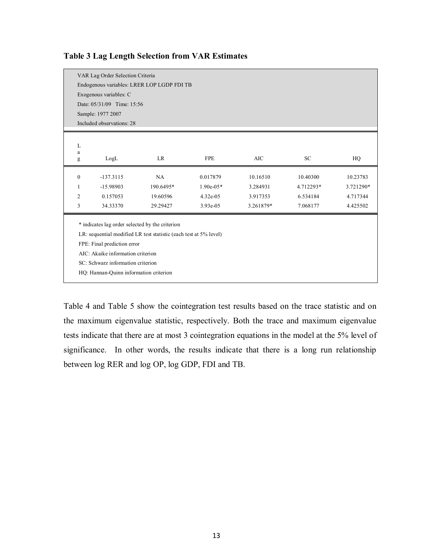|                | VAR Lag Order Selection Criteria                |                                                                   |             |           |           |           |  |  |  |
|----------------|-------------------------------------------------|-------------------------------------------------------------------|-------------|-----------|-----------|-----------|--|--|--|
|                |                                                 | Endogenous variables: LRER LOP LGDP FDI TB                        |             |           |           |           |  |  |  |
|                | Exogenous variables: C                          |                                                                   |             |           |           |           |  |  |  |
|                | Date: 05/31/09 Time: 15:56                      |                                                                   |             |           |           |           |  |  |  |
|                | Sample: 1977 2007                               |                                                                   |             |           |           |           |  |  |  |
|                | Included observations: 28                       |                                                                   |             |           |           |           |  |  |  |
|                |                                                 |                                                                   |             |           |           |           |  |  |  |
| L              |                                                 |                                                                   |             |           |           |           |  |  |  |
| a              |                                                 |                                                                   |             |           |           |           |  |  |  |
| g              | LogL                                            | <b>LR</b>                                                         | <b>FPE</b>  | $\rm AIC$ | SC        | HQ        |  |  |  |
| $\overline{0}$ | $-137.3115$                                     | NA                                                                | 0.017879    | 10.16510  | 10.40300  | 10.23783  |  |  |  |
|                |                                                 | 190.6495*                                                         | $1.90e-05*$ | 3.284931  |           |           |  |  |  |
| 1              | $-15.98903$                                     |                                                                   |             |           | 4.712293* | 3.721290* |  |  |  |
| $\overline{c}$ | 0.157053                                        | 19.60596                                                          | 4.32e-05    | 3.917353  | 6.534184  | 4.717344  |  |  |  |
| 3              | 34.33370                                        | 29.29427                                                          | 3.93e-05    | 3.261879* | 7.068177  | 4.425502  |  |  |  |
|                |                                                 |                                                                   |             |           |           |           |  |  |  |
|                | * indicates lag order selected by the criterion |                                                                   |             |           |           |           |  |  |  |
|                |                                                 | LR: sequential modified LR test statistic (each test at 5% level) |             |           |           |           |  |  |  |
|                | FPE: Final prediction error                     |                                                                   |             |           |           |           |  |  |  |
|                | AIC: Akaike information criterion               |                                                                   |             |           |           |           |  |  |  |
|                | SC: Schwarz information criterion               |                                                                   |             |           |           |           |  |  |  |
|                | HQ: Hannan-Quinn information criterion          |                                                                   |             |           |           |           |  |  |  |
|                |                                                 |                                                                   |             |           |           |           |  |  |  |

## **Table 3 Lag Length Selection from VAR Estimates**

Table 4 and Table 5 show the cointegration test results based on the trace statistic and on the maximum eigenvalue statistic, respectively. Both the trace and maximum eigenvalue tests indicate that there are at most 3 cointegration equations in the model at the 5% level of significance. In other words, the results indicate that there is a long run relationship between log RER and log OP, log GDP, FDI and TB.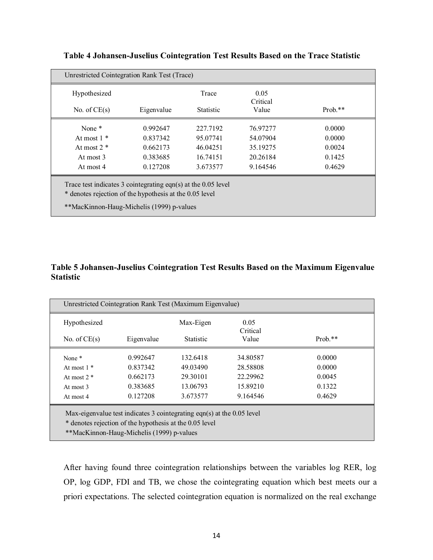|                | Unrestricted Cointegration Rank Test (Trace) |                  |                  |            |
|----------------|----------------------------------------------|------------------|------------------|------------|
| Hypothesized   |                                              | Trace            | 0.05<br>Critical |            |
| No. of $CE(s)$ | Eigenvalue                                   | <b>Statistic</b> | Value            | Prob. $**$ |
| None $*$       | 0.992647                                     | 227.7192         | 76.97277         | 0.0000     |
| At most $1 *$  | 0.837342                                     | 95.07741         | 54.07904         | 0.0000     |
| At most $2 *$  | 0.662173                                     | 46.04251         | 35.19275         | 0.0024     |
| At most 3      | 0.383685                                     | 16.74151         | 20.26184         | 0.1425     |
| At most 4      | 0.127208                                     | 3.673577         | 9.164546         | 0.4629     |

# **Table 4 Johansen-Juselius Cointegration Test Results Based on the Trace Statistic**

# **Table 5 Johansen-Juselius Cointegration Test Results Based on the Maximum Eigenvalue Statistic**

| Hypothesized   |            | Max-Eigen        | 0.05<br>Critical |            |
|----------------|------------|------------------|------------------|------------|
| No. of $CE(s)$ | Eigenvalue | <b>Statistic</b> | Value            | Prob. $**$ |
| None $*$       | 0.992647   | 132.6418         | 34.80587         | 0.0000     |
| At most $1*$   | 0.837342   | 49.03490         | 28.58808         | 0.0000     |
| At most $2 *$  | 0.662173   | 29.30101         | 22.29962         | 0.0045     |
| At most 3      | 0.383685   | 13.06793         | 15.89210         | 0.1322     |
| At most 4      | 0.127208   | 3.673577         | 9.164546         | 0.4629     |

After having found three cointegration relationships between the variables log RER, log OP, log GDP, FDI and TB, we chose the cointegrating equation which best meets our a priori expectations. The selected cointegration equation is normalized on the real exchange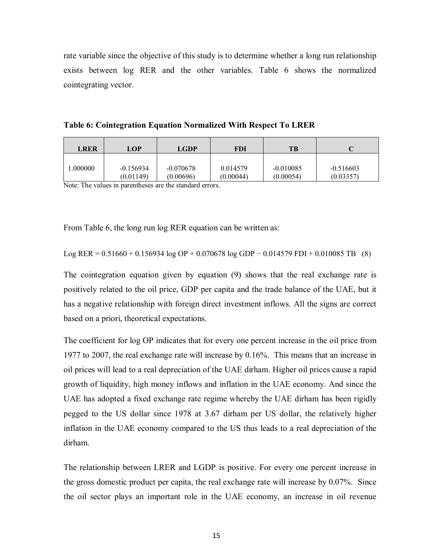rate variable since the objective of this study is to determine whether a long run relationship exists between log RER and the other variables. Table 6 shows the normalized cointegrating vector.

| <b>LRER</b> | LOP         | <b>LGDP</b> | FDI       | TВ          |             |
|-------------|-------------|-------------|-----------|-------------|-------------|
| .000000     | $-0.156934$ | $-0.070678$ | 0.014579  | $-0.010085$ | $-0.516603$ |
|             | (0.01149)   | (0.00696)   | (0.00044) | (0.00054)   | (0.03357)   |

**Table 6: Cointegration Equation Normalized With Respect To LRER**

Note: The values in parentheses are the standard errors.

From Table 6, the long run log RER equation can be written as:

Log RER = 
$$
0.51660 + 0.156934 \log OP + 0.070678 \log GDP - 0.014579 FDI + 0.010085 TB
$$
 (8)

The cointegration equation given by equation (9) shows that the real exchange rate is positively related to the oil price, GDP per capita and the trade balance of the UAE, but it has a negative relationship with foreign direct investment inflows. All the signs are correct based on a priori, theoretical expectations.

The coefficient for log OP indicates that for every one percent increase in the oil price from 1977 to 2007, the real exchange rate will increase by 0.16%. This means that an increase in oil prices will lead to a real depreciation of the UAE dirham. Higher oil prices cause a rapid growth of liquidity, high money inflows and inflation in the UAE economy. And since the UAE has adopted a fixed exchange rate regime whereby the UAE dirham has been rigidly pegged to the US dollar since 1978 at 3.67 dirham per US dollar, the relatively higher inflation in the UAE economy compared to the US thus leads to a real depreciation of the dirham.

The relationship between LRER and LGDP is positive. For every one percent increase in the gross domestic product per capita, the real exchange rate will increase by 0.07%. Since the oil sector plays an important role in the UAE economy, an increase in oil revenue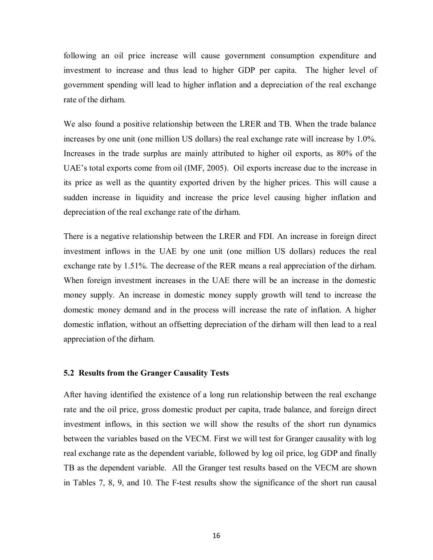following an oil price increase will cause government consumption expenditure and investment to increase and thus lead to higher GDP per capita. The higher level of government spending will lead to higher inflation and a depreciation of the real exchange rate of the dirham.

We also found a positive relationship between the LRER and TB. When the trade balance increases by one unit (one million US dollars) the real exchange rate will increase by 1.0%. Increases in the trade surplus are mainly attributed to higher oil exports, as 80% of the UAE's total exports come from oil (IMF, 2005). Oil exports increase due to the increase in its price as well as the quantity exported driven by the higher prices. This will cause a sudden increase in liquidity and increase the price level causing higher inflation and depreciation of the real exchange rate of the dirham.

There is a negative relationship between the LRER and FDI. An increase in foreign direct investment inflows in the UAE by one unit (one million US dollars) reduces the real exchange rate by 1.51%. The decrease of the RER means a real appreciation of the dirham. When foreign investment increases in the UAE there will be an increase in the domestic money supply. An increase in domestic money supply growth will tend to increase the domestic money demand and in the process will increase the rate of inflation. A higher domestic inflation, without an offsetting depreciation of the dirham will then lead to a real appreciation of the dirham.

## **5.2 Results from the Granger Causality Tests**

After having identified the existence of a long run relationship between the real exchange rate and the oil price, gross domestic product per capita, trade balance, and foreign direct investment inflows, in this section we will show the results of the short run dynamics between the variables based on the VECM. First we will test for Granger causality with log real exchange rate as the dependent variable, followed by log oil price, log GDP and finally TB as the dependent variable. All the Granger test results based on the VECM are shown in Tables 7, 8, 9, and 10. The F-test results show the significance of the short run causal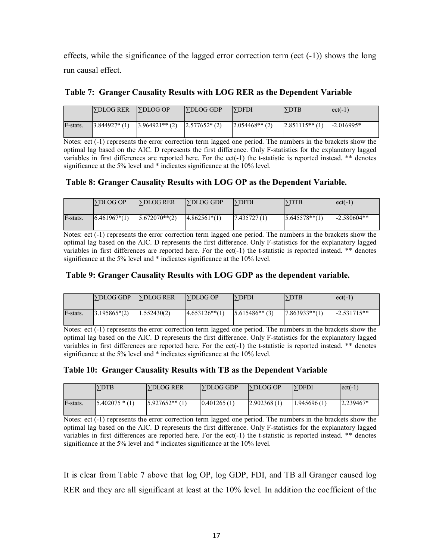effects, while the significance of the lagged error correction term (ect  $(-1)$ ) shows the long run causal effect.

|          | <b>SDLOG RER SPDLOG OP</b> |                                                                                      | $\Gamma$ DLOG GDP | $\Gamma$ $\Gamma$ | <b>SDTB</b>                  | $ ect(-1) $ |
|----------|----------------------------|--------------------------------------------------------------------------------------|-------------------|-------------------|------------------------------|-------------|
| F-stats. |                            | $\left 3.844927*(1)\right $ $\left 3.964921**(2)\right $ $\left 2.577652*(2)\right $ |                   | $2.054468**$ (2)  | $ 2.851115**(1) $ -2.016995* |             |

## **Table 7: Granger Causality Results with LOG RER as the Dependent Variable**

Notes: ect (-1) represents the error correction term lagged one period. The numbers in the brackets show the optimal lag based on the AIC. D represents the first difference. Only F-statistics for the explanatory lagged variables in first differences are reported here. For the ect(-1) the t-statistic is reported instead. \*\* denotes significance at the 5% level and \* indicates significance at the 10% level.

# **Table 8: Granger Causality Results with LOG OP as the Dependent Variable.**

|          | <b>SDLOG OP</b>  | <b>SDLOG RER</b>  | <b>SDLOG GDP</b> | <b>SDFDI</b>  | <b>SDTB</b>     | $ ect(-1) $   |
|----------|------------------|-------------------|------------------|---------------|-----------------|---------------|
| F-stats. | $(6.461967*(1))$ | $15.672070**$ (2) | $4.862561*(1)$   | (7.435727(1)) | $5.645578**(1)$ | $-2.580604**$ |

Notes: ect (-1) represents the error correction term lagged one period. The numbers in the brackets show the optimal lag based on the AIC. D represents the first difference. Only F-statistics for the explanatory lagged variables in first differences are reported here. For the ect(-1) the t-statistic is reported instead. \*\* denotes significance at the 5% level and \* indicates significance at the 10% level.

# **Table 9: Granger Causality Results with LOG GDP as the dependent variable.**

|          | $\Gamma$ DLOG GDP | <b>SDLOG RER</b> | $\Gamma$ DLOG OP | <b>SDFDI</b>     | <b>YDTB</b>       | $ect(-1)$     |
|----------|-------------------|------------------|------------------|------------------|-------------------|---------------|
| F-stats. | $3.195865*(2)$    | 1.552430(2)      | $4.653126**(1)$  | $5.615486**$ (3) | $17.863933**$ (1) | $-2.531715**$ |

Notes: ect (-1) represents the error correction term lagged one period. The numbers in the brackets show the optimal lag based on the AIC. D represents the first difference. Only F-statistics for the explanatory lagged variables in first differences are reported here. For the ect(-1) the t-statistic is reported instead. \*\* denotes significance at the 5% level and \* indicates significance at the 10% level.

# **Table 10: Granger Causality Results with TB as the Dependent Variable**

|          | <b>SDTB</b>     | <b>SDLOG RER</b>  | <b>SDLOG GDP</b> | $\Gamma$ DLOG OP | <b>SDFDI</b> | $ ect(-1) $ |
|----------|-----------------|-------------------|------------------|------------------|--------------|-------------|
| F-stats. | $15.402075*(1)$ | $15.927652**$ (1) | (0.401265(1))    | 2.902368(1)      | 1.945696(1)  | $2.239467*$ |

Notes: ect (-1) represents the error correction term lagged one period. The numbers in the brackets show the optimal lag based on the AIC. D represents the first difference. Only F-statistics for the explanatory lagged variables in first differences are reported here. For the ect(-1) the t-statistic is reported instead. \*\* denotes significance at the 5% level and \* indicates significance at the 10% level.

It is clear from Table 7 above that log OP, log GDP, FDI, and TB all Granger caused log RER and they are all significant at least at the 10% level. In addition the coefficient of the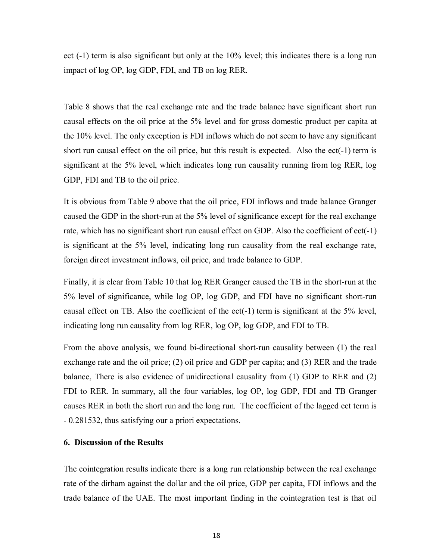ect (-1) term is also significant but only at the 10% level; this indicates there is a long run impact of log OP, log GDP, FDI, and TB on log RER.

Table 8 shows that the real exchange rate and the trade balance have significant short run causal effects on the oil price at the 5% level and for gross domestic product per capita at the 10% level. The only exception is FDI inflows which do not seem to have any significant short run causal effect on the oil price, but this result is expected. Also the ect(-1) term is significant at the 5% level, which indicates long run causality running from log RER, log GDP, FDI and TB to the oil price.

It is obvious from Table 9 above that the oil price, FDI inflows and trade balance Granger caused the GDP in the short-run at the 5% level of significance except for the real exchange rate, which has no significant short run causal effect on GDP. Also the coefficient of ect(-1) is significant at the 5% level, indicating long run causality from the real exchange rate, foreign direct investment inflows, oil price, and trade balance to GDP.

Finally, it is clear from Table 10 that log RER Granger caused the TB in the short-run at the 5% level of significance, while log OP, log GDP, and FDI have no significant short-run causal effect on TB. Also the coefficient of the ect( $-1$ ) term is significant at the 5% level, indicating long run causality from log RER, log OP, log GDP, and FDI to TB.

From the above analysis, we found bi-directional short-run causality between (1) the real exchange rate and the oil price; (2) oil price and GDP per capita; and (3) RER and the trade balance, There is also evidence of unidirectional causality from (1) GDP to RER and (2) FDI to RER. In summary, all the four variables, log OP, log GDP, FDI and TB Granger causes RER in both the short run and the long run. The coefficient of the lagged ect term is - 0.281532, thus satisfying our a priori expectations.

## **6. Discussion of the Results**

The cointegration results indicate there is a long run relationship between the real exchange rate of the dirham against the dollar and the oil price, GDP per capita, FDI inflows and the trade balance of the UAE. The most important finding in the cointegration test is that oil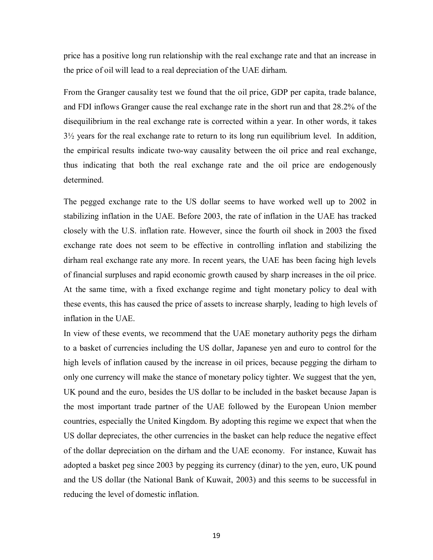price has a positive long run relationship with the real exchange rate and that an increase in the price of oil will lead to a real depreciation of the UAE dirham.

From the Granger causality test we found that the oil price, GDP per capita, trade balance, and FDI inflows Granger cause the real exchange rate in the short run and that 28.2% of the disequilibrium in the real exchange rate is corrected within a year. In other words, it takes  $3\frac{1}{2}$  years for the real exchange rate to return to its long run equilibrium level. In addition, the empirical results indicate two-way causality between the oil price and real exchange, thus indicating that both the real exchange rate and the oil price are endogenously determined.

The pegged exchange rate to the US dollar seems to have worked well up to 2002 in stabilizing inflation in the UAE. Before 2003, the rate of inflation in the UAE has tracked closely with the U.S. inflation rate. However, since the fourth oil shock in 2003 the fixed exchange rate does not seem to be effective in controlling inflation and stabilizing the dirham real exchange rate any more. In recent years, the UAE has been facing high levels of financial surpluses and rapid economic growth caused by sharp increases in the oil price. At the same time, with a fixed exchange regime and tight monetary policy to deal with these events, this has caused the price of assets to increase sharply, leading to high levels of inflation in the UAE.

In view of these events, we recommend that the UAE monetary authority pegs the dirham to a basket of currencies including the US dollar, Japanese yen and euro to control for the high levels of inflation caused by the increase in oil prices, because pegging the dirham to only one currency will make the stance of monetary policy tighter. We suggest that the yen, UK pound and the euro, besides the US dollar to be included in the basket because Japan is the most important trade partner of the UAE followed by the European Union member countries, especially the United Kingdom. By adopting this regime we expect that when the US dollar depreciates, the other currencies in the basket can help reduce the negative effect of the dollar depreciation on the dirham and the UAE economy. For instance, Kuwait has adopted a basket peg since 2003 by pegging its currency (dinar) to the yen, euro, UK pound and the US dollar (the National Bank of Kuwait, 2003) and this seems to be successful in reducing the level of domestic inflation.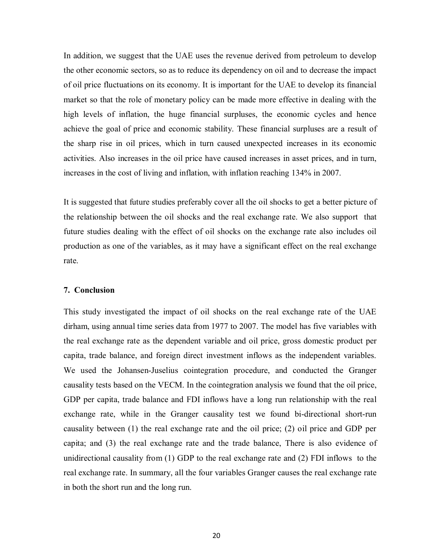In addition, we suggest that the UAE uses the revenue derived from petroleum to develop the other economic sectors, so as to reduce its dependency on oil and to decrease the impact of oil price fluctuations on its economy. It is important for the UAE to develop its financial market so that the role of monetary policy can be made more effective in dealing with the high levels of inflation, the huge financial surpluses, the economic cycles and hence achieve the goal of price and economic stability. These financial surpluses are a result of the sharp rise in oil prices, which in turn caused unexpected increases in its economic activities. Also increases in the oil price have caused increases in asset prices, and in turn, increases in the cost of living and inflation, with inflation reaching 134% in 2007.

It is suggested that future studies preferably cover all the oil shocks to get a better picture of the relationship between the oil shocks and the real exchange rate. We also support that future studies dealing with the effect of oil shocks on the exchange rate also includes oil production as one of the variables, as it may have a significant effect on the real exchange rate.

#### **7. Conclusion**

This study investigated the impact of oil shocks on the real exchange rate of the UAE dirham, using annual time series data from 1977 to 2007. The model has five variables with the real exchange rate as the dependent variable and oil price, gross domestic product per capita, trade balance, and foreign direct investment inflows as the independent variables. We used the Johansen-Juselius cointegration procedure, and conducted the Granger causality tests based on the VECM. In the cointegration analysis we found that the oil price, GDP per capita, trade balance and FDI inflows have a long run relationship with the real exchange rate, while in the Granger causality test we found bi-directional short-run causality between (1) the real exchange rate and the oil price; (2) oil price and GDP per capita; and (3) the real exchange rate and the trade balance, There is also evidence of unidirectional causality from (1) GDP to the real exchange rate and (2) FDI inflows to the real exchange rate. In summary, all the four variables Granger causes the real exchange rate in both the short run and the long run.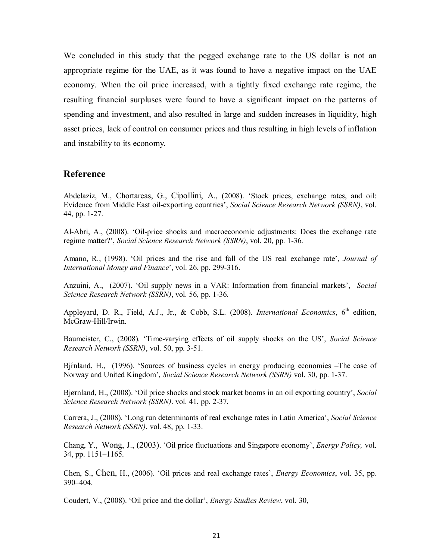We concluded in this study that the pegged exchange rate to the US dollar is not an appropriate regime for the UAE, as it was found to have a negative impact on the UAE economy. When the oil price increased, with a tightly fixed exchange rate regime, the resulting financial surpluses were found to have a significant impact on the patterns of spending and investment, and also resulted in large and sudden increases in liquidity, high asset prices, lack of control on consumer prices and thus resulting in high levels of inflation and instability to its economy.

## **Reference**

Abdelaziz, M., Chortareas, G., Cipollini, A., (2008). 'Stock prices, exchange rates, and oil: Evidence from Middle East oil-exporting countries', *Social Science Research Network (SSRN)*, vol. 44, pp. 1-27.

Al-Abri, A., (2008). 'Oil-price shocks and macroeconomic adjustments: Does the exchange rate regime matter?', *Social Science Research Network (SSRN)*, vol. 20, pp. 1-36.

Amano, R., (1998). 'Oil prices and the rise and fall of the US real exchange rate', *Journal of International Money and Finance*', vol. 26, pp. 299-316.

Anzuini, A., (2007). 'Oil supply news in a VAR: Information from financial markets', *Social Science Research Network (SSRN)*, vol. 56, pp. 1-36.

Appleyard, D. R., Field, A.J., Jr., & Cobb, S.L. (2008). *International Economics*, 6<sup>th</sup> edition, McGraw-Hill/Irwin.

Baumeister, C., (2008). 'Time-varying effects of oil supply shocks on the US', *Social Science Research Network (SSRN)*, vol. 50, pp. 3-51.

Bj $\overline{r}$  H., (1996). 'Sources of business cycles in energy producing economies –The case of Norway and United Kingdom', *Social Science Research Network (SSRN)* vol. 30, pp. 1-37.

Bjørnland, H., (2008). 'Oil price shocks and stock market booms in an oil exporting country', *Social Science Research Network (SSRN)*. vol. 41, pp. 2-37.

Carrera, J., (2008). 'Long run determinants of real exchange rates in Latin America', *Social Science Research Network (SSRN)*. vol. 48, pp. 1-33.

Chang, Y., Wong, J., (2003). 'Oil price fluctuations and Singapore economy', *Energy Policy,* vol. 34, pp. 1151–1165.

Chen, S., Chen, H., (2006). 'Oil prices and real exchange rates', *Energy Economics*, vol. 35, pp. 390–404.

Coudert, V., (2008). 'Oil price and the dollar', *Energy Studies Review*, vol. 30,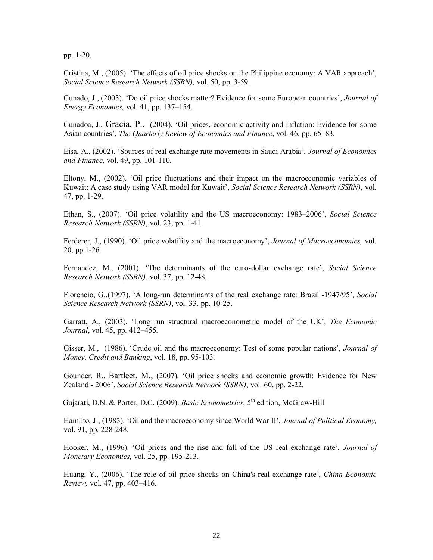pp. 1-20.

Cristina, M., (2005). 'The effects of oil price shocks on the Philippine economy: A VAR approach', *Social Science Research Network (SSRN),* vol. 50, pp. 3-59.

Cunado, J., (2003). 'Do oil price shocks matter? Evidence for some European countries', *Journal of Energy Economics,* vol. 41, pp. 137–154.

Cunadoa, J., Gracia, P., (2004). 'Oil prices, economic activity and inflation: Evidence for some Asian countries', *The Quarterly Review of Economics and Finance*, vol. 46, pp. 65–83.

Eisa, A., (2002). 'Sources of real exchange rate movements in Saudi Arabia', *Journal of Economics and Finance,* vol. 49, pp. 101-110.

Eltony, M., (2002). 'Oil price fluctuations and their impact on the macroeconomic variables of Kuwait: A case study using VAR model for Kuwait', *Social Science Research Network (SSRN)*, vol. 47, pp. 1-29.

Ethan, S., (2007). 'Oil price volatility and the US macroeconomy: 1983–2006', *Social Science Research Network (SSRN)*, vol. 23, pp. 1-41.

Ferderer, J., (1990). 'Oil price volatility and the macroeconomy', *Journal of Macroeconomics,* vol. 20, pp.1-26.

Fernandez, M., (2001). 'The determinants of the euro-dollar exchange rate', *Social Science Research Network (SSRN)*, vol. 37, pp. 12-48.

Fiorencio, G.,(1997). 'A long-run determinants of the real exchange rate: Brazil -1947/95', *Social Science Research Network (SSRN)*, vol. 33, pp. 10-25.

Garratt, A., (2003). 'Long run structural macroeconometric model of the UK', *The Economic Journal*, vol. 45, pp. 412–455.

Gisser, M., (1986). 'Crude oil and the macroeconomy: Test of some popular nations', *Journal of Money, Credit and Banking*, vol. 18, pp. 95-103.

Gounder, R., Bartleet, M., (2007). 'Oil price shocks and economic growth: Evidence for New Zealand - 2006', *Social Science Research Network (SSRN)*, vol. 60, pp. 2-22.

Gujarati, D.N. & Porter, D.C. (2009). *Basic Econometrics*, 5<sup>th</sup> edition, McGraw-Hill.

Hamilto, J., (1983). 'Oil and the macroeconomy since World War II', *Journal of Political Economy,* vol. 91, pp. 228-248.

Hooker, M., (1996). 'Oil prices and the rise and fall of the US real exchange rate', *Journal of Monetary Economics,* vol. 25, pp. 195-213.

Huang, Y., (2006). 'The role of oil price shocks on China's real exchange rate', *China Economic Review,* vol. 47, pp. 403–416.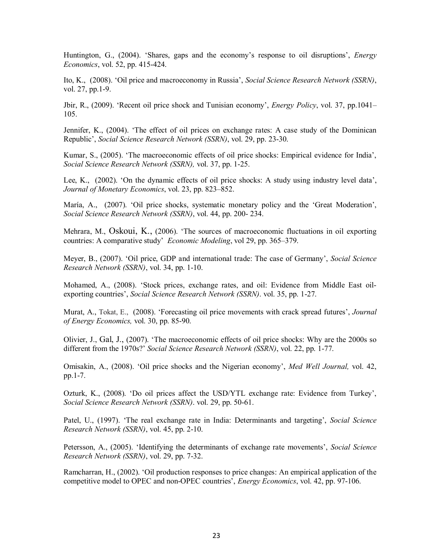Huntington, G., (2004). 'Shares, gaps and the economy's response to oil disruptions', *Energy Economics*, vol. 52, pp. 415-424.

Ito, K., (2008). 'Oil price and macroeconomy in Russia', *Social Science Research Network (SSRN)*, vol. 27, pp.1-9.

Jbir, R., (2009). 'Recent oil price shock and Tunisian economy', *Energy Policy*, vol. 37, pp.1041– 105.

Jennifer, K., (2004). 'The effect of oil prices on exchange rates: A case study of the Dominican Republic', *Social Science Research Network (SSRN)*, vol. 29, pp. 23-30.

Kumar, S., (2005). 'The macroeconomic effects of oil price shocks: Empirical evidence for India', *Social Science Research Network (SSRN),* vol. 37, pp. 1-25.

Lee, K., (2002). 'On the dynamic effects of oil price shocks: A study using industry level data', *Journal of Monetary Economics*, vol. 23, pp. 823–852.

María, A., (2007). 'Oil price shocks, systematic monetary policy and the 'Great Moderation', *Social Science Research Network (SSRN)*, vol. 44, pp. 200- 234.

Mehrara, M., Oskoui, K., (2006). 'The sources of macroeconomic fluctuations in oil exporting countries: A comparative study' *Economic Modeling*, vol 29, pp. 365–379.

Meyer, B., (2007). 'Oil price, GDP and international trade: The case of Germany', *Social Science Research Network (SSRN)*, vol. 34, pp. 1-10.

Mohamed, A., (2008). 'Stock prices, exchange rates, and oil: Evidence from Middle East oilexporting countries', *Social Science Research Network (SSRN)*. vol. 35, pp. 1-27.

Murat, A., Tokat, E., (2008). 'Forecasting oil price movements with crack spread futures', *Journal of Energy Economics,* vol. 30, pp. 85-90.

Olivier, J., Gal, J., (2007). 'The macroeconomic effects of oil price shocks: Why are the 2000s so different from the 1970s?' *Social Science Research Network (SSRN)*, vol. 22, pp. 1-77.

Omisakin, A., (2008). 'Oil price shocks and the Nigerian economy', *Med Well Journal,* vol. 42, pp.1-7.

Ozturk, K., (2008). 'Do oil prices affect the USD/YTL exchange rate: Evidence from Turkey', *Social Science Research Network (SSRN)*. vol. 29, pp. 50-61.

Patel, U., (1997). 'The real exchange rate in India: Determinants and targeting', *Social Science Research Network (SSRN)*, vol. 45, pp. 2-10.

Petersson, A., (2005). 'Identifying the determinants of exchange rate movements', *Social Science Research Network (SSRN)*, vol. 29, pp. 7-32.

Ramcharran, H., (2002). 'Oil production responses to price changes: An empirical application of the competitive model to OPEC and non-OPEC countries', *Energy Economics*, vol. 42, pp. 97-106.